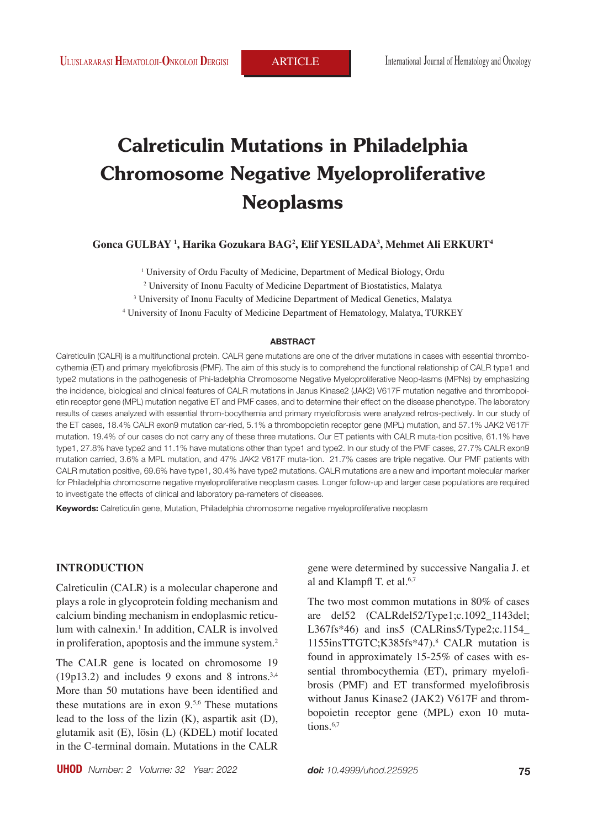# **Calreticulin Mutations in Philadelphia Chromosome Negative Myeloproliferative Neoplasms**

**Gonca GULBAY 1 , Harika Gozukara BAG2 , Elif YESILADA3 , Mehmet Ali ERKURT4**

<sup>1</sup> University of Ordu Faculty of Medicine, Department of Medical Biology, Ordu

2 University of Inonu Faculty of Medicine Department of Biostatistics, Malatya

3 University of Inonu Faculty of Medicine Department of Medical Genetics, Malatya

4 University of Inonu Faculty of Medicine Department of Hematology, Malatya, TURKEY

#### **ABSTRACT**

Calreticulin (CALR) is a multifunctional protein. CALR gene mutations are one of the driver mutations in cases with essential thrombocythemia (ET) and primary myelofibrosis (PMF). The aim of this study is to comprehend the functional relationship of CALR type1 and type2 mutations in the pathogenesis of Phi-ladelphia Chromosome Negative Myeloproliferative Neop-lasms (MPNs) by emphasizing the incidence, biological and clinical features of CALR mutations in Janus Kinase2 (JAK2) V617F mutation negative and thrombopoietin receptor gene (MPL) mutation negative ET and PMF cases, and to determine their effect on the disease phenotype. The laboratory results of cases analyzed with essential throm-bocythemia and primary myelofibrosis were analyzed retros-pectively. In our study of the ET cases, 18.4% CALR exon9 mutation car-ried, 5.1% a thrombopoietin receptor gene (MPL) mutation, and 57.1% JAK2 V617F mutation. 19.4% of our cases do not carry any of these three mutations. Our ET patients with CALR muta-tion positive, 61.1% have type1, 27.8% have type2 and 11.1% have mutations other than type1 and type2. In our study of the PMF cases, 27.7% CALR exon9 mutation carried, 3.6% a MPL mutation, and 47% JAK2 V617F muta-tion. 21.7% cases are triple negative. Our PMF patients with CALR mutation positive, 69.6% have type1, 30.4% have type2 mutations. CALR mutations are a new and important molecular marker for Philadelphia chromosome negative myeloproliferative neoplasm cases. Longer follow-up and larger case populations are required to investigate the effects of clinical and laboratory pa-rameters of diseases.

**Keywords:** Calreticulin gene, Mutation, Philadelphia chromosome negative myeloproliferative neoplasm

#### **INTRODUCTION**

Calreticulin (CALR) is a molecular chaperone and plays a role in glycoprotein folding mechanism and calcium binding mechanism in endoplasmic reticulum with calnexin.<sup>1</sup> In addition, CALR is involved in proliferation, apoptosis and the immune system.<sup>2</sup>

The CALR gene is located on chromosome 19  $(19p13.2)$  and includes 9 exons and 8 introns.<sup>3,4</sup> More than 50 mutations have been identified and these mutations are in exon 9.5,6 These mutations lead to the loss of the lizin  $(K)$ , aspartik asit  $(D)$ , glutamik asit (E), lösin (L) (KDEL) motif located in the C-terminal domain. Mutations in the CALR gene were determined by successive Nangalia J. et al and Klampfl T. et al.<sup>6,7</sup>

The two most common mutations in 80% of cases are del52 (CALRdel52/Type1;c.1092\_1143del; L367fs\*46) and ins5 (CALRins5/Type2;c.1154 1155insTTGTC;K385fs\*47).8 CALR mutation is found in approximately 15-25% of cases with essential thrombocythemia (ET), primary myelofibrosis (PMF) and ET transformed myelofibrosis without Janus Kinase2 (JAK2) V617F and thrombopoietin receptor gene (MPL) exon 10 mutations. $6,7$ 

**UHOD** *Number: 2 Volume: 32 Year: 2022* **75**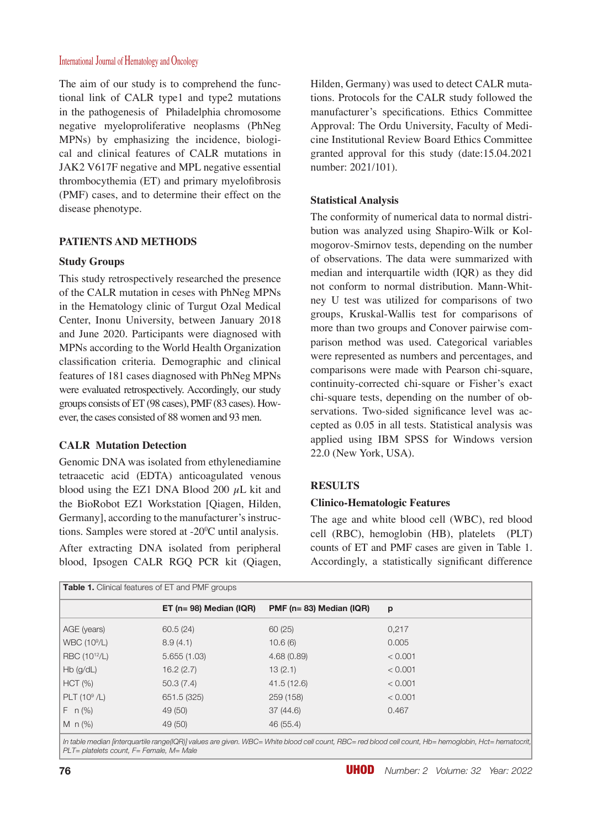#### International Journal of Hematology and Oncology

The aim of our study is to comprehend the functional link of CALR type1 and type2 mutations in the pathogenesis of Philadelphia chromosome negative myeloproliferative neoplasms (PhNeg MPNs) by emphasizing the incidence, biological and clinical features of CALR mutations in JAK2 V617F negative and MPL negative essential thrombocythemia (ET) and primary myelofibrosis (PMF) cases, and to determine their effect on the disease phenotype.

## **PATIENTS AND METHODS**

## **Study Groups**

This study retrospectively researched the presence of the CALR mutation in ceses with PhNeg MPNs in the Hematology clinic of Turgut Ozal Medical Center, Inonu University, between January 2018 and June 2020. Participants were diagnosed with MPNs according to the World Health Organization classification criteria. Demographic and clinical features of 181 cases diagnosed with PhNeg MPNs were evaluated retrospectively. Accordingly, our study groups consists of ET (98 cases), PMF (83 cases). However, the cases consisted of 88 women and 93 men.

## **CALR Mutation Detection**

Genomic DNA was isolated from ethylenediamine tetraacetic acid (EDTA) anticoagulated venous blood using the EZ1 DNA Blood 200  $\mu$ L kit and the BioRobot EZ1 Workstation [Qiagen, Hilden, Germany], according to the manufacturer's instructions. Samples were stored at -20<sup>o</sup>C until analysis.

After extracting DNA isolated from peripheral blood, Ipsogen CALR RGQ PCR kit (Qiagen, Hilden, Germany) was used to detect CALR mutations. Protocols for the CALR study followed the manufacturer's specifications. Ethics Committee Approval: The Ordu University, Faculty of Medicine Institutional Review Board Ethics Committee granted approval for this study (date:15.04.2021 number: 2021/101).

## **Statistical Analysis**

The conformity of numerical data to normal distribution was analyzed using Shapiro-Wilk or Kolmogorov-Smirnov tests, depending on the number of observations. The data were summarized with median and interquartile width (IQR) as they did not conform to normal distribution. Mann-Whitney U test was utilized for comparisons of two groups, Kruskal-Wallis test for comparisons of more than two groups and Conover pairwise comparison method was used. Categorical variables were represented as numbers and percentages, and comparisons were made with Pearson chi-square, continuity-corrected chi-square or Fisher's exact chi-square tests, depending on the number of observations. Two-sided significance level was accepted as 0.05 in all tests. Statistical analysis was applied using IBM SPSS for Windows version 22.0 (New York, USA).

# **RESULTS**

## **Clinico-Hematologic Features**

The age and white blood cell (WBC), red blood cell (RBC), hemoglobin (HB), platelets (PLT) counts of ET and PMF cases are given in Table 1. Accordingly, a statistically significant difference

| <b>Table 1.</b> Clinical features of ET and PMF groups |                           |                                   |                                                                                                                                                       |  |
|--------------------------------------------------------|---------------------------|-----------------------------------|-------------------------------------------------------------------------------------------------------------------------------------------------------|--|
|                                                        | $ET$ (n= 98) Median (IQR) | PMF ( $n = 83$ ) Median ( $lQR$ ) | p                                                                                                                                                     |  |
| AGE (years)                                            | 60.5(24)                  | 60(25)                            | 0,217                                                                                                                                                 |  |
| <b>WBC (10<sup>9</sup>/L)</b>                          | 8.9(4.1)                  | 10.6(6)                           | 0.005                                                                                                                                                 |  |
| RBC (10 <sup>12</sup> /L)                              | 5.655(1.03)               | 4.68(0.89)                        | < 0.001                                                                                                                                               |  |
| $Hb$ (g/dL)                                            | 16.2(2.7)                 | 13(2.1)                           | < 0.001                                                                                                                                               |  |
| HCT (%)                                                | 50.3(7.4)                 | 41.5 (12.6)                       | < 0.001                                                                                                                                               |  |
| $PLT (10^9/L)$                                         | 651.5 (325)               | 259 (158)                         | < 0.001                                                                                                                                               |  |
| $F \nvert n \, (\%)$                                   | 49 (50)                   | 37(44.6)                          | 0.467                                                                                                                                                 |  |
| M $n$ (%)                                              | 49 (50)                   | 46 (55.4)                         |                                                                                                                                                       |  |
|                                                        |                           |                                   | In table median linterquartile range(IQR)] values are given. WBC= White blood cell count. RBC= red blood cell count. Hb= hemoglobin. Hct= hematocrit. |  |

*In table median [interquartile range(IQR)] values are given. WBC= White blood cell count, RBC= red blood cell count, Hb= hemoglobin, Hct= hematocrit, PLT= platelets count, F= Female, M= Male*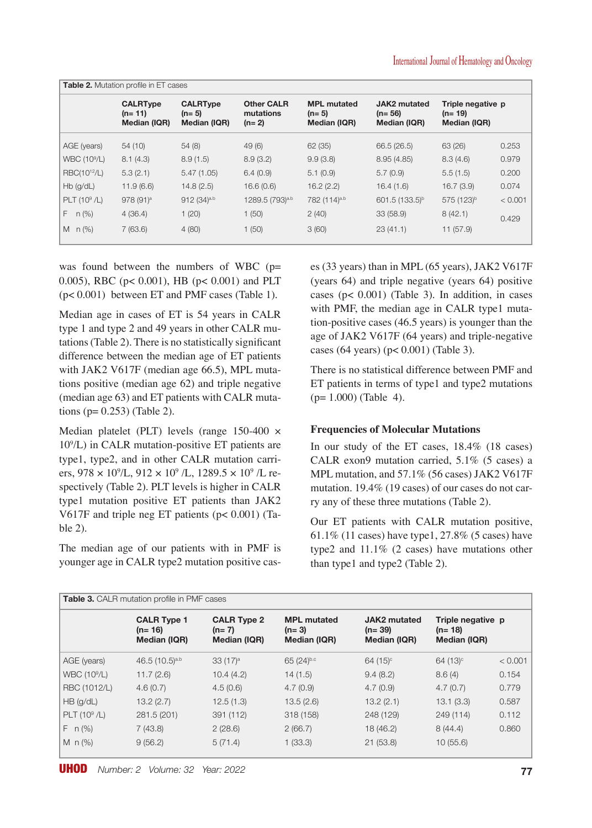| <b>Table 2.</b> Mutation profile in ET cases |                                             |                                            |                                           |                                               |                                                 |                                               |         |
|----------------------------------------------|---------------------------------------------|--------------------------------------------|-------------------------------------------|-----------------------------------------------|-------------------------------------------------|-----------------------------------------------|---------|
|                                              | <b>CALRType</b><br>$(n=11)$<br>Median (IQR) | <b>CALRType</b><br>$(n=5)$<br>Median (IQR) | <b>Other CALR</b><br>mutations<br>$(n=2)$ | <b>MPL mutated</b><br>$(n=5)$<br>Median (IQR) | <b>JAK2</b> mutated<br>$(n=56)$<br>Median (IQR) | Triple negative p<br>$(n=19)$<br>Median (IQR) |         |
| AGE (years)                                  | 54(10)                                      | 54(8)                                      | 49(6)                                     | 62 (35)                                       | 66.5 (26.5)                                     | 63 (26)                                       | 0.253   |
| <b>WBC (10<sup>9</sup>/L)</b>                | 8.1(4.3)                                    | 8.9(1.5)                                   | 8.9(3.2)                                  | 9.9(3.8)                                      | 8.95(4.85)                                      | 8.3(4.6)                                      | 0.979   |
| RBC(10 <sup>12</sup> /L)                     | 5.3(2.1)                                    | 5.47(1.05)                                 | 6.4(0.9)                                  | 5.1(0.9)                                      | 5.7(0.9)                                        | 5.5(1.5)                                      | 0.200   |
| $Hb$ (g/dL)                                  | 11.9(6.6)                                   | 14.8(2.5)                                  | 16.6(0.6)                                 | 16.2(2.2)                                     | 16.4(1.6)                                       | 16.7(3.9)                                     | 0.074   |
| PLT $(10^9$ /L)                              | $978(91)^a$                                 | $912 (34)$ <sub>a,b</sub>                  | 1289.5 (793) <sup>a,b</sup>               | 782 (114) <sup>a.b</sup>                      | $601.5(133.5)^b$                                | 575 (123) <sup>b</sup>                        | < 0.001 |
| $n$ (%)<br>F.                                | 4(36.4)                                     | 1(20)                                      | 1(50)                                     | 2(40)                                         | 33 (58.9)                                       | 8(42.1)                                       | 0.429   |
| M $n$ (%)                                    | 7(63.6)                                     | 4(80)                                      | 1(50)                                     | 3(60)                                         | 23(41.1)                                        | 11(57.9)                                      |         |

was found between the numbers of WBC  $(p=$ 0.005), RBC (p< 0.001), HB (p< 0.001) and PLT (p< 0.001) between ET and PMF cases (Table 1).

Median age in cases of ET is 54 years in CALR type 1 and type 2 and 49 years in other CALR mutations (Table 2). There is no statistically significant difference between the median age of ET patients with JAK2 V617F (median age 66.5), MPL mutations positive (median age 62) and triple negative (median age 63) and ET patients with CALR mutations (p= 0.253) (Table 2).

Median platelet (PLT) levels (range 150-400 × 109 /L) in CALR mutation-positive ET patients are type1, type2, and in other CALR mutation carriers, 978  $\times$  10<sup>9</sup>/L, 912  $\times$  10<sup>9</sup>/L, 1289.5  $\times$  10<sup>9</sup>/L respectively (Table 2). PLT levels is higher in CALR type1 mutation positive ET patients than JAK2 V617F and triple neg ET patients (p< 0.001) (Table 2).

The median age of our patients with in PMF is younger age in CALR type2 mutation positive cases (33 years) than in MPL (65 years), JAK2 V617F (years 64) and triple negative (years 64) positive cases ( $p$ < 0.001) (Table 3). In addition, in cases with PMF, the median age in CALR type1 mutation-positive cases (46.5 years) is younger than the age of JAK2 V617F (64 years) and triple-negative cases (64 years) (p< 0.001) (Table 3).

There is no statistical difference between PMF and ET patients in terms of type1 and type2 mutations  $(p= 1.000)$  (Table 4).

# **Frequencies of Molecular Mutations**

In our study of the ET cases, 18.4% (18 cases) CALR exon9 mutation carried, 5.1% (5 cases) a MPL mutation, and 57.1% (56 cases) JAK2 V617F mutation. 19.4% (19 cases) of our cases do not carry any of these three mutations (Table 2).

Our ET patients with CALR mutation positive, 61.1% (11 cases) have type1, 27.8% (5 cases) have type2 and 11.1% (2 cases) have mutations other than type1 and type2 (Table 2).

| <b>Table 3.</b> CALR mutation profile in PMF cases |                                                |                                               |                                               |                                          |                                               |         |
|----------------------------------------------------|------------------------------------------------|-----------------------------------------------|-----------------------------------------------|------------------------------------------|-----------------------------------------------|---------|
|                                                    | <b>CALR Type 1</b><br>$(n=16)$<br>Median (IQR) | <b>CALR Type 2</b><br>$(n=7)$<br>Median (IQR) | <b>MPL mutated</b><br>$(n=3)$<br>Median (IQR) | JAK2 mutated<br>$(n=39)$<br>Median (IQR) | Triple negative p<br>$(n=18)$<br>Median (IQR) |         |
| AGE (years)                                        | 46.5 $(10.5)^{a.b}$                            | 33(17) <sup>a</sup>                           | 65 (24)b.c                                    | $64 (15)$ <sup>c</sup>                   | $64 (13)$ °                                   | < 0.001 |
| WBC (10 <sup>9</sup> /L)                           | 11.7(2.6)                                      | 10.4(4.2)                                     | 14(1.5)                                       | 9.4(8.2)                                 | 8.6(4)                                        | 0.154   |
| RBC (1012/L)                                       | 4.6(0.7)                                       | 4.5(0.6)                                      | 4.7(0.9)                                      | 4.7(0.9)                                 | 4.7(0.7)                                      | 0.779   |
| $HB$ (g/dL)                                        | 13.2(2.7)                                      | 12.5(1.3)                                     | 13.5(2.6)                                     | 13.2(2.1)                                | 13.1(3.3)                                     | 0.587   |
| PLT $(10^9$ /L)                                    | 281.5 (201)                                    | 391 (112)                                     | 318 (158)                                     | 248 (129)                                | 249 (114)                                     | 0.112   |
| $F \n n(\%)$                                       | 7(43.8)                                        | 2(28.6)                                       | 2(66.7)                                       | 18(46.2)                                 | 8(44.4)                                       | 0.860   |
| M $n$ (%)                                          | 9(56.2)                                        | 5(71.4)                                       | 1(33.3)                                       | 21(53.8)                                 | 10(55.6)                                      |         |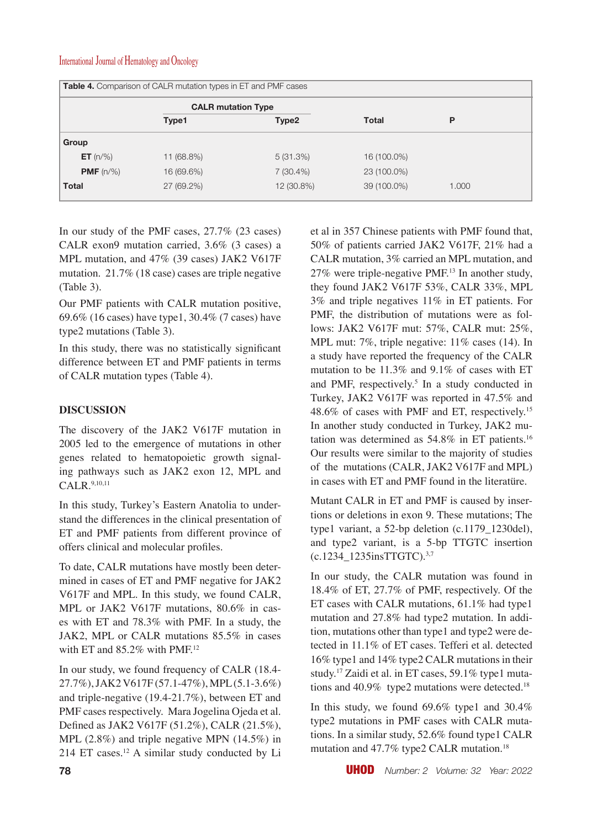#### International Journal of Hematology and Oncology

| Table 4. Comparison of CALR mutation types in ET and PMF cases |                           |             |             |       |  |
|----------------------------------------------------------------|---------------------------|-------------|-------------|-------|--|
|                                                                | <b>CALR mutation Type</b> |             |             |       |  |
|                                                                | Type1                     | Type2       | Total       | P     |  |
| Group                                                          |                           |             |             |       |  |
| <b>ET</b> $(n/\%)$                                             | 11 (68.8%)                | 5(31.3%)    | 16 (100.0%) |       |  |
| <b>PMF</b> $(n/\%)$                                            | 16 (69.6%)                | $7(30.4\%)$ | 23 (100.0%) |       |  |
| <b>Total</b>                                                   | 27 (69.2%)                | 12 (30.8%)  | 39 (100.0%) | 1.000 |  |

In our study of the PMF cases, 27.7% (23 cases) CALR exon9 mutation carried, 3.6% (3 cases) a MPL mutation, and 47% (39 cases) JAK2 V617F mutation. 21.7% (18 case) cases are triple negative (Table 3).

Our PMF patients with CALR mutation positive, 69.6% (16 cases) have type1, 30.4% (7 cases) have type2 mutations (Table 3).

In this study, there was no statistically significant difference between ET and PMF patients in terms of CALR mutation types (Table 4).

## **DISCUSSION**

The discovery of the JAK2 V617F mutation in 2005 led to the emergence of mutations in other genes related to hematopoietic growth signaling pathways such as JAK2 exon 12, MPL and CALR.9,10,11

In this study, Turkey's Eastern Anatolia to understand the differences in the clinical presentation of ET and PMF patients from different province of offers clinical and molecular profiles.

To date, CALR mutations have mostly been determined in cases of ET and PMF negative for JAK2 V617F and MPL. In this study, we found CALR, MPL or JAK2 V617F mutations, 80.6% in cases with ET and 78.3% with PMF. In a study, the JAK2, MPL or CALR mutations 85.5% in cases with ET and 85.2% with PMF.<sup>12</sup>

In our study, we found frequency of CALR (18.4- 27.7%), JAK2 V617F (57.1-47%), MPL (5.1-3.6%) and triple-negative (19.4-21.7%), between ET and PMF cases respectively. Mara Jogelina Ojeda et al. Defined as JAK2 V617F (51.2%), CALR (21.5%), MPL (2.8%) and triple negative MPN (14.5%) in 214 ET cases.12 A similar study conducted by Li et al in 357 Chinese patients with PMF found that, 50% of patients carried JAK2 V617F, 21% had a CALR mutation, 3% carried an MPL mutation, and 27% were triple-negative PMF.13 In another study, they found JAK2 V617F 53%, CALR 33%, MPL 3% and triple negatives 11% in ET patients. For PMF, the distribution of mutations were as follows: JAK2 V617F mut: 57%, CALR mut: 25%, MPL mut: 7%, triple negative: 11% cases (14). In a study have reported the frequency of the CALR mutation to be 11.3% and 9.1% of cases with ET and PMF, respectively.<sup>5</sup> In a study conducted in Turkey, JAK2 V617F was reported in 47.5% and 48.6% of cases with PMF and ET, respectively.15 In another study conducted in Turkey, JAK2 mutation was determined as 54.8% in ET patients.16 Our results were similar to the majority of studies of the mutations (CALR, JAK2 V617F and MPL) in cases with ET and PMF found in the literatüre.

Mutant CALR in ET and PMF is caused by insertions or deletions in exon 9. These mutations; The type1 variant, a 52-bp deletion (c.1179\_1230del), and type2 variant, is a 5-bp TTGTC insertion (c.1234\_1235insTTGTC).3,7

In our study, the CALR mutation was found in 18.4% of ET, 27.7% of PMF, respectively. Of the ET cases with CALR mutations, 61.1% had type1 mutation and 27.8% had type2 mutation. In addition, mutations other than type1 and type2 were detected in 11.1% of ET cases. Tefferi et al. detected 16% type1 and 14% type2 CALR mutations in their study.17 Zaidi et al. in ET cases, 59.1% type1 mutations and 40.9% type2 mutations were detected.<sup>18</sup>

In this study, we found 69.6% type1 and 30.4% type2 mutations in PMF cases with CALR mutations. In a similar study, 52.6% found type1 CALR mutation and 47.7% type2 CALR mutation.<sup>18</sup>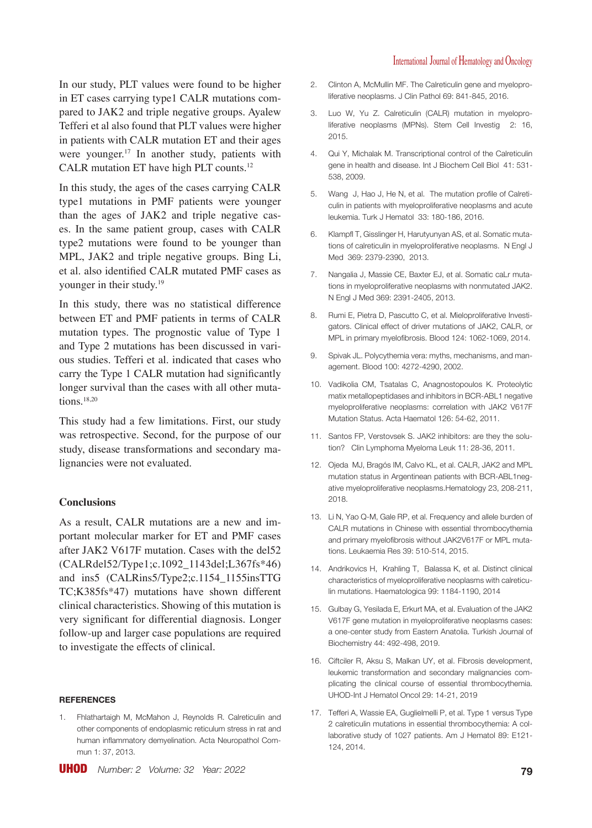In our study, PLT values were found to be higher in ET cases carrying type1 CALR mutations compared to JAK2 and triple negative groups. Ayalew Tefferi et al also found that PLT values were higher in patients with CALR mutation ET and their ages were vounger.<sup>17</sup> In another study, patients with CALR mutation ET have high PLT counts.12

In this study, the ages of the cases carrying CALR type1 mutations in PMF patients were younger than the ages of JAK2 and triple negative cases. In the same patient group, cases with CALR type2 mutations were found to be younger than MPL, JAK2 and triple negative groups. Bing Li, et al. also identified CALR mutated PMF cases as younger in their study.19

In this study, there was no statistical difference between ET and PMF patients in terms of CALR mutation types. The prognostic value of Type 1 and Type 2 mutations has been discussed in various studies. Tefferi et al. indicated that cases who carry the Type 1 CALR mutation had significantly longer survival than the cases with all other mutations.18,20

This study had a few limitations. First, our study was retrospective. Second, for the purpose of our study, disease transformations and secondary malignancies were not evaluated.

#### **Conclusions**

As a result, CALR mutations are a new and important molecular marker for ET and PMF cases after JAK2 V617F mutation. Cases with the del52 (CALRdel52/Type1;c.1092\_1143del;L367fs\*46) and ins5 (CALRins5/Type2;c.1154\_1155insTTG TC;K385fs\*47) mutations have shown different clinical characteristics. Showing of this mutation is very significant for differential diagnosis. Longer follow-up and larger case populations are required to investigate the effects of clinical.

#### **REFERENCES**

1. Fhlathartaigh M, McMahon J, Reynolds R. Calreticulin and other components of endoplasmic reticulum stress in rat and human inflammatory demyelination. Acta Neuropathol Commun 1: 37, 2013.

- 2. Clinton A, McMullin MF. The Calreticulin gene and myeloproliferative neoplasms. J Clin Pathol 69: 841-845, 2016.
- 3. Luo W, Yu Z. Calreticulin (CALR) mutation in myeloproliferative neoplasms (MPNs). Stem Cell Investig 2: 16, 2015.
- 4. Qui Y, Michalak M. Transcriptional control of the Calreticulin gene in health and disease. Int J Biochem Cell Biol 41: 531- 538, 2009.
- 5. Wang J, Hao J, He N, et al. The mutation profile of Calreticulin in patients with myeloproliferative neoplasms and acute leukemia. Turk J Hematol 33: 180-186, 2016.
- 6. Klampfl T, Gisslinger H, Harutyunyan AS, et al. Somatic mutations of calreticulin in myeloproliferative neoplasms. N Engl J Med 369: 2379-2390, 2013.
- 7. Nangalia J, Massie CE, Baxter EJ, et al. Somatic caLr mutations in myeloproliferative neoplasms with nonmutated JAK2. N Engl J Med 369: 2391-2405, 2013.
- 8. Rumi E, Pietra D, Pascutto C, et al. Mieloproliferative Investigators. Clinical effect of driver mutations of JAK2, CALR, or MPL in primary myelofibrosis. Blood 124: 1062-1069, 2014.
- 9. Spivak JL. Polycythemia vera: myths, mechanisms, and management. Blood 100: 4272-4290, 2002.
- 10. Vadikolia CM, Tsatalas C, Anagnostopoulos K. Proteolytic matix metallopeptidases and inhibitors in BCR-ABL1 negative myeloproliferative neoplasms: correlation with JAK2 V617F Mutation Status. Acta Haematol 126: 54-62, 2011.
- 11. Santos FP, Verstovsek S. JAK2 inhibitors: are they the solution? Clin Lymphoma Myeloma Leuk 11: 28-36, 2011.
- 12. Ojeda MJ, Bragós IM, Calvo KL, et al. CALR, JAK2 and MPL mutation status in Argentinean patients with BCR-ABL1negative myeloproliferative neoplasms.Hematology 23, 208-211, 2018.
- 13. Li N, Yao Q-M, Gale RP, et al. Frequency and allele burden of CALR mutations in Chinese with essential thrombocythemia and primary myelofibrosis without JAK2V617F or MPL mutations. Leukaemia Res 39: 510-514, 2015.
- 14. Andrikovics H, Krahling T, Balassa K, et al. Distinct clinical characteristics of myeloproliferative neoplasms with calreticulin mutations. Haematologica 99: 1184-1190, 2014
- 15. Gulbay G, Yesilada E, Erkurt MA, et al. Evaluation of the JAK2 V617F gene mutation in myeloproliferative neoplasms cases: a one-center study from Eastern Anatolia. Turkish Journal of Biochemistry 44: 492-498, 2019.
- 16. Ciftciler R, Aksu S, Malkan UY, et al. Fibrosis development, leukemic transformation and secondary malignancies complicating the clinical course of essential thrombocythemia. UHOD-Int J Hematol Oncol 29: 14-21, 2019
- 17. Tefferi A, Wassie EA, Guglielmelli P, et al. Type 1 versus Type 2 calreticulin mutations in essential thrombocythemia: A collaborative study of 1027 patients. Am J Hematol 89: E121- 124, 2014.